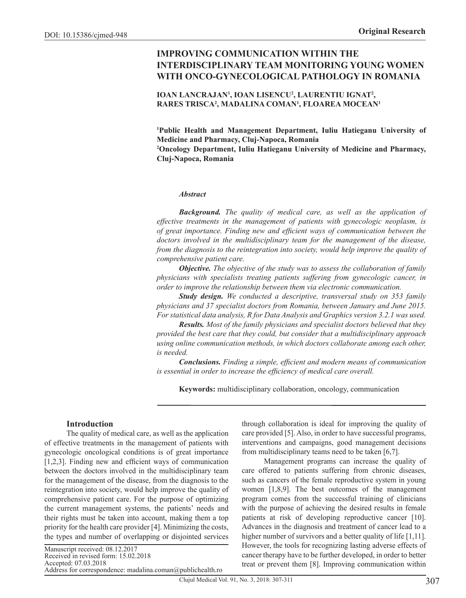# **IMPROVING COMMUNICATION WITHIN THE INTERDISCIPLINARY TEAM MONITORING YOUNG WOMEN WITH ONCO-GYNECOLOGICAL PATHOLOGY IN ROMANIA**

### **IOAN LANCRAJAN1 , IOAN LISENCU2 , LAURENTIU IGNAT2 , RARES TRISCA2 , MADALINA COMAN1 , FLOAREA MOCEAN1**

**1 Public Health and Management Department, Iuliu Hatieganu University of Medicine and Pharmacy, Cluj-Napoca, Romania**

**2 Oncology Department, Iuliu Hatieganu University of Medicine and Pharmacy, Cluj-Napoca, Romania**

#### *Abstract*

*Background. The quality of medical care, as well as the application of effective treatments in the management of patients with gynecologic neoplasm, is of great importance. Finding new and efficient ways of communication between the doctors involved in the multidisciplinary team for the management of the disease, from the diagnosis to the reintegration into society, would help improve the quality of comprehensive patient care.*

*Objective. The objective of the study was to assess the collaboration of family physicians with specialists treating patients suffering from gynecologic cancer, in order to improve the relationship between them via electronic communication.* 

*Study design. We conducted a descriptive, transversal study on 353 family physicians and 37 specialist doctors from Romania, between January and June 2015. For statistical data analysis, R for Data Analysis and Graphics version 3.2.1 was used.*

*Results. Most of the family physicians and specialist doctors believed that they provided the best care that they could, but consider that a multidisciplinary approach using online communication methods, in which doctors collaborate among each other, is needed.*

*Conclusions. Finding a simple, efficient and modern means of communication is essential in order to increase the efficiency of medical care overall.*

**Keywords:** multidisciplinary collaboration, oncology, communication

### **Introduction**

The quality of medical care, as well as the application of effective treatments in the management of patients with gynecologic oncological conditions is of great importance [1,2,3]. Finding new and efficient ways of communication between the doctors involved in the multidisciplinary team for the management of the disease, from the diagnosis to the reintegration into society, would help improve the quality of comprehensive patient care. For the purpose of optimizing the current management systems, the patients' needs and their rights must be taken into account, making them a top priority for the health care provider [4]. Minimizing the costs, the types and number of overlapping or disjointed services

through collaboration is ideal for improving the quality of care provided [5]. Also, in order to have successful programs, interventions and campaigns, good management decisions from multidisciplinary teams need to be taken [6,7].

Management programs can increase the quality of care offered to patients suffering from chronic diseases, such as cancers of the female reproductive system in young women [1,8,9]. The best outcomes of the management program comes from the successful training of clinicians with the purpose of achieving the desired results in female patients at risk of developing reproductive cancer [10]. Advances in the diagnosis and treatment of cancer lead to a higher number of survivors and a better quality of life [1,11]. However, the tools for recognizing lasting adverse effects of cancer therapy have to be further developed, in order to better treat or prevent them [8]. Improving communication within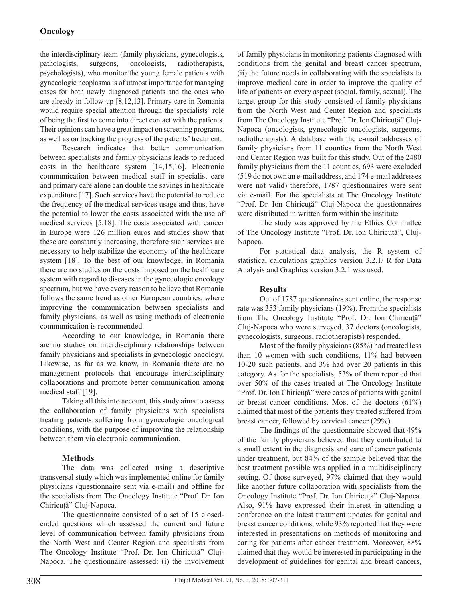the interdisciplinary team (family physicians, gynecologists, pathologists, surgeons, oncologists, radiotherapists, psychologists), who monitor the young female patients with gynecologic neoplasma is of utmost importance for managing cases for both newly diagnosed patients and the ones who are already in follow-up [8,12,13]. Primary care in Romania would require special attention through the specialists' role of being the first to come into direct contact with the patients. Their opinions can have a great impact on screening programs, as well as on tracking the progress of the patients' treatment.

Research indicates that better communication between specialists and family physicians leads to reduced costs in the healthcare system [14,15,16]. Electronic communication between medical staff in specialist care and primary care alone can double the savings in healthcare expenditure [17]. Such services have the potential to reduce the frequency of the medical services usage and thus, have the potential to lower the costs associated with the use of medical services [5,18]. The costs associated with cancer in Europe were 126 million euros and studies show that these are constantly increasing, therefore such services are necessary to help stabilize the economy of the healthcare system [18]. To the best of our knowledge, in Romania there are no studies on the costs imposed on the healthcare system with regard to diseases in the gynecologic oncology spectrum, but we have every reason to believe that Romania follows the same trend as other European countries, where improving the communication between specialists and family physicians, as well as using methods of electronic communication is recommended.

According to our knowledge, in Romania there are no studies on interdisciplinary relationships between family physicians and specialists in gynecologic oncology. Likewise, as far as we know, in Romania there are no management protocols that encourage interdisciplinary collaborations and promote better communication among medical staff [19].

Taking all this into account, this study aims to assess the collaboration of family physicians with specialists treating patients suffering from gynecologic oncological conditions, with the purpose of improving the relationship between them via electronic communication.

# **Methods**

The data was collected using a descriptive transversal study which was implemented online for family physicians (questionnaire sent via e-mail) and offline for the specialists from The Oncology Institute "Prof. Dr. Ion Chiricuță" Cluj-Napoca.

The questionnaire consisted of a set of 15 closedended questions which assessed the current and future level of communication between family physicians from the North West and Center Region and specialists from The Oncology Institute "Prof. Dr. Ion Chiricuță" Cluj-Napoca. The questionnaire assessed: (i) the involvement of family physicians in monitoring patients diagnosed with conditions from the genital and breast cancer spectrum, (ii) the future needs in collaborating with the specialists to improve medical care in order to improve the quality of life of patients on every aspect (social, family, sexual). The target group for this study consisted of family physicians from the North West and Center Region and specialists from The Oncology Institute "Prof. Dr. Ion Chiricuță" Cluj-Napoca (oncologists, gynecologic oncologists, surgeons, radiotherapists). A database with the e-mail addresses of family physicians from 11 counties from the North West and Center Region was built for this study. Out of the 2480 family physicians from the 11 counties, 693 were excluded (519 do not own an e-mail address, and 174 e-mail addresses were not valid) therefore, 1787 questionnaires were sent via e-mail. For the specialists at The Oncology Institute "Prof. Dr. Ion Chiricuță" Cluj-Napoca the questionnaires were distributed in written form within the institute.

The study was approved by the Ethics Committee of The Oncology Institute "Prof. Dr. Ion Chiricuță", Cluj-Napoca.

For statistical data analysis, the R system of statistical calculations graphics version 3.2.1/ R for Data Analysis and Graphics version 3.2.1 was used.

# **Results**

Out of 1787 questionnaires sent online, the response rate was 353 family physicians (19%). From the specialists from The Oncology Institute "Prof. Dr. Ion Chiricuță" Cluj-Napoca who were surveyed, 37 doctors (oncologists, gynecologists, surgeons, radiotherapists) responded.

Most of the family physicians (85%) had treated less than 10 women with such conditions, 11% had between 10-20 such patients, and 3% had over 20 patients in this category. As for the specialists, 53% of them reported that over 50% of the cases treated at The Oncology Institute "Prof. Dr. Ion Chiricuță" were cases of patients with genital or breast cancer conditions. Most of the doctors (61%) claimed that most of the patients they treated suffered from breast cancer, followed by cervical cancer (29%).

The findings of the questionnaire showed that 49% of the family physicians believed that they contributed to a small extent in the diagnosis and care of cancer patients under treatment, but 84% of the sample believed that the best treatment possible was applied in a multidisciplinary setting. Of those surveyed, 97% claimed that they would like another future collaboration with specialists from the Oncology Institute "Prof. Dr. Ion Chiricuță" Cluj-Napoca. Also, 91% have expressed their interest in attending a conference on the latest treatment updates for genital and breast cancer conditions, while 93% reported that they were interested in presentations on methods of monitoring and caring for patients after cancer treatment. Moreover, 88% claimed that they would be interested in participating in the development of guidelines for genital and breast cancers,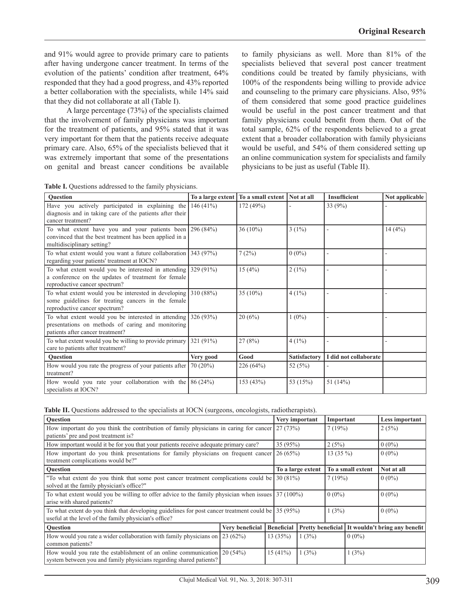and 91% would agree to provide primary care to patients after having undergone cancer treatment. In terms of the evolution of the patients' condition after treatment, 64% responded that they had a good progress, and 43% reported a better collaboration with the specialists, while 14% said that they did not collaborate at all (Table I).

A large percentage (73%) of the specialists claimed that the involvement of family physicians was important for the treatment of patients, and 95% stated that it was very important for them that the patients receive adequate primary care. Also, 65% of the specialists believed that it was extremely important that some of the presentations on genital and breast cancer conditions be available to family physicians as well. More than 81% of the specialists believed that several post cancer treatment conditions could be treated by family physicians, with 100% of the respondents being willing to provide advice and counseling to the primary care physicians. Also, 95% of them considered that some good practice guidelines would be useful in the post cancer treatment and that family physicians could benefit from them. Out of the total sample, 62% of the respondents believed to a great extent that a broader collaboration with family physicians would be useful, and 54% of them considered setting up an online communication system for specialists and family physicians to be just as useful (Table II).

**Table I.** Questions addressed to the family physicians.

| <b>Ouestion</b>                                                                                                                                          |           | To a large extent   To a small extent   Not at all |              | <b>Insufficient</b>   | Not applicable |
|----------------------------------------------------------------------------------------------------------------------------------------------------------|-----------|----------------------------------------------------|--------------|-----------------------|----------------|
| Have you actively participated in explaining the $146(41%)$<br>diagnosis and in taking care of the patients after their<br>cancer treatment?             |           | 172 (49%)                                          |              | 33 $(9%)$             |                |
| To what extent have you and your patients been $296 (84%)$<br>convinced that the best treatment has been applied in a<br>multidisciplinary setting?      |           | $36(10\%)$                                         | $3(1\%)$     |                       | 14(4%)         |
| To what extent would you want a future collaboration 343 (97%)<br>regarding your patients' treatment at IOCN?                                            |           | 7(2%)                                              | $0(0\%)$     |                       |                |
| To what extent would you be interested in attending $329(91\%)$<br>a conference on the updates of treatment for female<br>reproductive cancer spectrum?  |           | 15(4%)                                             | $2(1\%)$     |                       |                |
| To what extent would you be interested in developing $310(88%)$<br>some guidelines for treating cancers in the female<br>reproductive cancer spectrum?   |           | 35 (10%)                                           | $4(1\%)$     |                       |                |
| To what extent would you be interested in attending $326 (93%)$<br>presentations on methods of caring and monitoring<br>patients after cancer treatment? |           | 20(6%)                                             | $1(0\%)$     |                       |                |
| To what extent would you be willing to provide primary<br>care to patients after treatment?                                                              | 321 (91%) | 27(8%)                                             | $4(1\%)$     |                       |                |
| <b>Ouestion</b>                                                                                                                                          | Very good | Good                                               | Satisfactory | I did not collaborate |                |
| How would you rate the progress of your patients after $\vert$ 70 (20%)<br>treatment?                                                                    |           | 226 (64%)                                          | 52 $(5%)$    |                       |                |
| How would you rate your collaboration with the $86 (24%)$<br>specialists at IOCN?                                                                        |           | 153 (43%)                                          | 53 (15%)     | 51 $(14%)$            |                |

|  |  | Table II. Questions addressed to the specialists at IOCN (surgeons, oncologists, radiotherapists). |  |  |  |
|--|--|----------------------------------------------------------------------------------------------------|--|--|--|
|--|--|----------------------------------------------------------------------------------------------------|--|--|--|

| Question                                                                                                                                                    |                 |  | Very important    |                                                 | Important         |       | Less important |
|-------------------------------------------------------------------------------------------------------------------------------------------------------------|-----------------|--|-------------------|-------------------------------------------------|-------------------|-------|----------------|
| How important do you think the contribution of family physicians in caring for cancer<br>patients' pre and post treatment is?                               |                 |  | 27(73%)           |                                                 | 7(19%)            |       | 2(5%)          |
| How important would it be for you that your patients receive adequate primary care?                                                                         |                 |  | 35 (95%)          |                                                 | 2(5%)             |       | $0(0\%)$       |
| How important do you think presentations for family physicians on frequent cancer<br>treatment complications would be?"                                     |                 |  | 26(65%)           |                                                 | 13 $(35\%)$       |       | $0(0\%)$       |
| Question                                                                                                                                                    |                 |  | To a large extent |                                                 | To a small extent |       | Not at all     |
| "To what extent do you think that some post cancer treatment complications could be $30(81\%)$<br>solved at the family physician's office?"                 |                 |  |                   |                                                 | 7(19%)            |       | $0(0\%)$       |
| To what extent would you be willing to offer advice to the family physician when issues 37 (100%)<br>arise with shared patients?                            |                 |  |                   |                                                 | $0(0\%)$          |       | $0(0\%)$       |
| To what extent do you think that developing guidelines for post cancer treatment could be 35 (95%)<br>useful at the level of the family physician's office? |                 |  |                   |                                                 | 1(3%)             |       | $0(0\%)$       |
| Question                                                                                                                                                    | Very beneficial |  | <b>Beneficial</b> | Pretty beneficial It wouldn't bring any benefit |                   |       |                |
| How would you rate a wider collaboration with family physicians on $\left[23(62\%) \right]$<br>common patients?                                             |                 |  | 13(35%)<br>1(3%)  |                                                 | $0(0\%)$          |       |                |
| How would you rate the establishment of an online communication $20(54%)$<br>system between you and family physicians regarding shared patients?            |                 |  | $15(41\%)$        | 1(3%)                                           |                   | 1(3%) |                |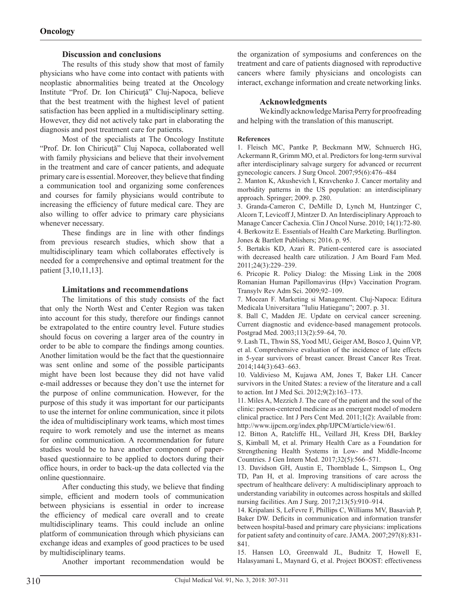### **Discussion and conclusions**

The results of this study show that most of family physicians who have come into contact with patients with neoplastic abnormalities being treated at the Oncology Institute "Prof. Dr. Ion Chiricuţă" Cluj-Napoca, believe that the best treatment with the highest level of patient satisfaction has been applied in a multidisciplinary setting. However, they did not actively take part in elaborating the diagnosis and post treatment care for patients.

Most of the specialists at The Oncology Institute "Prof. Dr. Ion Chiricuţă" Cluj Napoca, collaborated well with family physicians and believe that their involvement in the treatment and care of cancer patients, and adequate primary care is essential. Moreover, they believe that finding a communication tool and organizing some conferences and courses for family physicians would contribute to increasing the efficiency of future medical care. They are also willing to offer advice to primary care physicians whenever necessary.

These findings are in line with other findings from previous research studies, which show that a multidisciplinary team which collaborates effectively is needed for a comprehensive and optimal treatment for the patient [3,10,11,13].

### **Limitations and recommendations**

The limitations of this study consists of the fact that only the North West and Center Region was taken into account for this study, therefore our findings cannot be extrapolated to the entire country level. Future studies should focus on covering a larger area of the country in order to be able to compare the findings among counties. Another limitation would be the fact that the questionnaire was sent online and some of the possible participants might have been lost because they did not have valid e-mail addresses or because they don't use the internet for the purpose of online communication. However, for the purpose of this study it was important for our participants to use the internet for online communication, since it pilots the idea of multidisciplinary work teams, which most times require to work remotely and use the internet as means for online communication. A recommendation for future studies would be to have another component of paperbased questionnaire to be applied to doctors during their office hours, in order to back-up the data collected via the online questionnaire.

After conducting this study, we believe that finding simple, efficient and modern tools of communication between physicians is essential in order to increase the efficiency of medical care overall and to create multidisciplinary teams. This could include an online platform of communication through which physicians can exchange ideas and examples of good practices to be used by multidisciplinary teams.

the organization of symposiums and conferences on the treatment and care of patients diagnosed with reproductive cancers where family physicians and oncologists can interact, exchange information and create networking links.

### **Acknowledgments**

We kindly acknowledge Marisa Perry for proofreading and helping with the translation of this manuscript.

#### **References**

1. Fleisch MC, Pantke P, Beckmann MW, Schnuerch HG, Ackermann R, Grimm MO, et al. Predictors for long-term survival after interdisciplinary salvage surgery for advanced or recurrent gynecologic cancers. J Surg Oncol. 2007;95(6):476–484

2. Manton K, Akushevich I, Kravchenko J. Cancer mortality and morbidity patterns in the US population: an interdisciplinary approach. Springer; 2009. p. 280.

3. Granda-Cameron C, DeMille D, Lynch M, Huntzinger C, Alcorn T, Levicoff J, Mintzer D. An Interdisciplinary Approach to Manage Cancer Cachexia. Clin J Oncol Nurse. 2010; 14(1):72-80. 4. Berkowitz E. Essentials of Health Care Marketing. Burllington. Jones & Bartlett Publishers; 2016. p. 95.

5. Bertakis KD, Azari R. Patient-centered care is associated with decreased health care utilization. J Am Board Fam Med. 2011;24(3):229–239.

6. Pricopie R. Policy Dialog: the Missing Link in the 2008 Romanian Human Papillomavirus (Hpv) Vaccination Program. Transylv Rev Adm Sci. 2009;92–109.

7. Mocean F. Marketing si Management. Cluj-Napoca: Editura Medicala Universitara "Iuliu Hatieganu"; 2007. p. 31.

8. Ball C, Madden JE. Update on cervical cancer screening. Current diagnostic and evidence-based management protocols. Postgrad Med. 2003;113(2):59–64, 70.

9. Lash TL, Thwin SS, Yood MU, Geiger AM, Bosco J, Quinn VP, et al. Comprehensive evaluation of the incidence of late effects in 5-year survivors of breast cancer. Breast Cancer Res Treat. 2014;144(3):643–663.

10. Valdivieso M, Kujawa AM, Jones T, Baker LH. Cancer survivors in the United States: a review of the literature and a call to action. Int J Med Sci. 2012;9(2):163–173.

11. Miles A, Mezzich J. The care of the patient and the soul of the clinic: person-centered medicine as an emergent model of modern clinical practice. Int J Pers Cent Med. 2011;1(2): Available from: http://www.ijpcm.org/index.php/IJPCM/article/view/61.

12. Bitton A, Ratcliffe HL, Veillard JH, Kress DH, Barkley S, Kimball M, et al. Primary Health Care as a Foundation for Strengthening Health Systems in Low- and Middle-Income Countries. J Gen Intern Med. 2017;32(5):566–571.

13. Davidson GH, Austin E, Thornblade L, Simpson L, Ong TD, Pan H, et al. Improving transitions of care across the spectrum of healthcare delivery: A multidisciplinary approach to understanding variability in outcomes across hospitals and skilled nursing facilities. Am J Surg. 2017;213(5):910–914.

14. Kripalani S, LeFevre F, Phillips C, Williams MV, Basaviah P, Baker DW. Deficits in communication and information transfer between hospital-based and primary care physicians: implications for patient safety and continuity of care. JAMA. 2007;297(8):831- 841.

15. Hansen LO, Greenwald JL, Budnitz T, Howell E, Halasyamani L, Maynard G, et al. Project BOOST: effectiveness

Another important recommendation would be